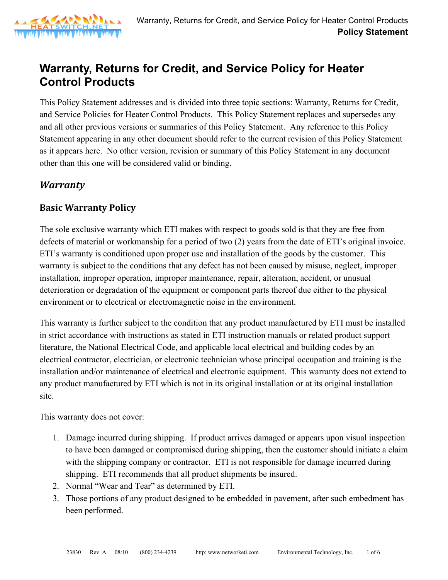

# **Warranty, Returns for Credit, and Service Policy for Heater Control Products**

This Policy Statement addresses and is divided into three topic sections: Warranty, Returns for Credit, and Service Policies for Heater Control Products. This Policy Statement replaces and supersedes any and all other previous versions or summaries of this Policy Statement. Any reference to this Policy Statement appearing in any other document should refer to the current revision of this Policy Statement as it appears here. No other version, revision or summary of this Policy Statement in any document other than this one will be considered valid or binding.

#### *Warranty*

#### **Basic Warranty Policy**

The sole exclusive warranty which ETI makes with respect to goods sold is that they are free from defects of material or workmanship for a period of two (2) years from the date of ETI's original invoice. ETI's warranty is conditioned upon proper use and installation of the goods by the customer. This warranty is subject to the conditions that any defect has not been caused by misuse, neglect, improper installation, improper operation, improper maintenance, repair, alteration, accident, or unusual deterioration or degradation of the equipment or component parts thereof due either to the physical environment or to electrical or electromagnetic noise in the environment.

This warranty is further subject to the condition that any product manufactured by ETI must be installed in strict accordance with instructions as stated in ETI instruction manuals or related product support literature, the National Electrical Code, and applicable local electrical and building codes by an electrical contractor, electrician, or electronic technician whose principal occupation and training is the installation and/or maintenance of electrical and electronic equipment. This warranty does not extend to any product manufactured by ETI which is not in its original installation or at its original installation site.

This warranty does not cover:

- 1. Damage incurred during shipping. If product arrives damaged or appears upon visual inspection to have been damaged or compromised during shipping, then the customer should initiate a claim with the shipping company or contractor. ETI is not responsible for damage incurred during shipping. ETI recommends that all product shipments be insured.
- 2. Normal "Wear and Tear" as determined by ETI.
- 3. Those portions of any product designed to be embedded in pavement, after such embedment has been performed.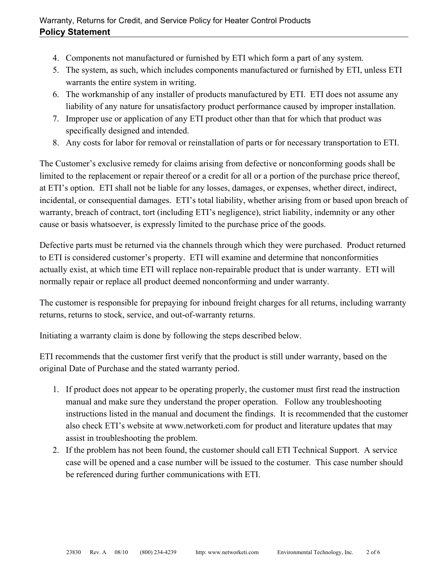- 4. Components not manufactured or furnished by ETI which form a part of any system.
- 5. The system, as such, which includes components manufactured or furnished by ETI, unless ETI warrants the entire system in writing.
- 6. The workmanship of any installer of products manufactured by ETI. ETI does not assume any liability of any nature for unsatisfactory product performance caused by improper installation.
- 7. Improper use or application of any ETI product other than that for which that product was specifically designed and intended.
- 8. Any costs for labor for removal or reinstallation of parts or for necessary transportation to ETI.

The Customer's exclusive remedy for claims arising from defective or nonconforming goods shall be limited to the replacement or repair thereof or a credit for all or a portion of the purchase price thereof, at ETI's option. ETI shall not be liable for any losses, damages, or expenses, whether direct, indirect, incidental, or consequential damages. ETI's total liability, whether arising from or based upon breach of warranty, breach of contract, tort (including ETI's negligence), strict liability, indemnity or any other cause or basis whatsoever, is expressly limited to the purchase price of the goods.

Defective parts must be returned via the channels through which they were purchased. Product returned to ETI is considered customer's property. ETI will examine and determine that nonconformities actually exist, at which time ETI will replace non-repairable product that is under warranty. ETI will normally repair or replace all product deemed nonconforming and under warranty.

The customer is responsible for prepaying for inbound freight charges for all returns, including warranty returns, returns to stock, service, and out-of-warranty returns.

Initiating a warranty claim is done by following the steps described below.

ETI recommends that the customer first verify that the product is still under warranty, based on the original Date of Purchase and the stated warranty period.

- 1. If product does not appear to be operating properly, the customer must first read the instruction manual and make sure they understand the proper operation. Follow any troubleshooting instructions listed in the manual and document the findings. It is recommended that the customer also check ETI's website at www.networketi.com for product and literature updates that may assist in troubleshooting the problem.
- 2. If the problem has not been found, the customer should call ETI Technical Support. A service case will be opened and a case number will be issued to the costumer. This case number should be referenced during further communications with ETI.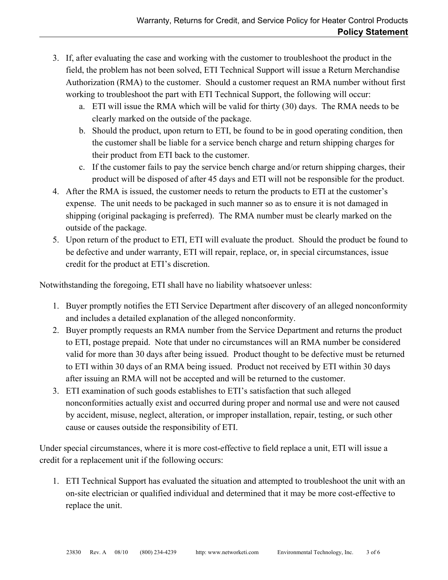- 3. If, after evaluating the case and working with the customer to troubleshoot the product in the field, the problem has not been solved, ETI Technical Support will issue a Return Merchandise Authorization (RMA) to the customer. Should a customer request an RMA number without first working to troubleshoot the part with ETI Technical Support, the following will occur:
	- a. ETI will issue the RMA which will be valid for thirty (30) days. The RMA needs to be clearly marked on the outside of the package.
	- b. Should the product, upon return to ETI, be found to be in good operating condition, then the customer shall be liable for a service bench charge and return shipping charges for their product from ETI back to the customer.
	- c. If the customer fails to pay the service bench charge and/or return shipping charges, their product will be disposed of after 45 days and ETI will not be responsible for the product.
- 4. After the RMA is issued, the customer needs to return the products to ETI at the customer's expense. The unit needs to be packaged in such manner so as to ensure it is not damaged in shipping (original packaging is preferred). The RMA number must be clearly marked on the outside of the package.
- 5. Upon return of the product to ETI, ETI will evaluate the product. Should the product be found to be defective and under warranty, ETI will repair, replace, or, in special circumstances, issue credit for the product at ETI's discretion.

Notwithstanding the foregoing, ETI shall have no liability whatsoever unless:

- 1. Buyer promptly notifies the ETI Service Department after discovery of an alleged nonconformity and includes a detailed explanation of the alleged nonconformity.
- 2. Buyer promptly requests an RMA number from the Service Department and returns the product to ETI, postage prepaid. Note that under no circumstances will an RMA number be considered valid for more than 30 days after being issued. Product thought to be defective must be returned to ETI within 30 days of an RMA being issued. Product not received by ETI within 30 days after issuing an RMA will not be accepted and will be returned to the customer.
- 3. ETI examination of such goods establishes to ETI's satisfaction that such alleged nonconformities actually exist and occurred during proper and normal use and were not caused by accident, misuse, neglect, alteration, or improper installation, repair, testing, or such other cause or causes outside the responsibility of ETI.

Under special circumstances, where it is more cost-effective to field replace a unit, ETI will issue a credit for a replacement unit if the following occurs:

1. ETI Technical Support has evaluated the situation and attempted to troubleshoot the unit with an on-site electrician or qualified individual and determined that it may be more cost-effective to replace the unit.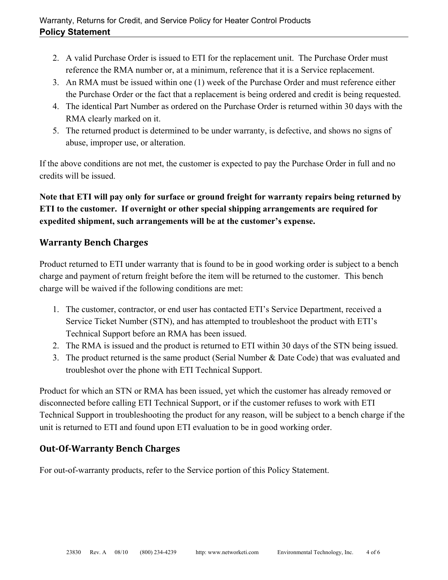- 2. A valid Purchase Order is issued to ETI for the replacement unit. The Purchase Order must reference the RMA number or, at a minimum, reference that it is a Service replacement.
- 3. An RMA must be issued within one (1) week of the Purchase Order and must reference either the Purchase Order or the fact that a replacement is being ordered and credit is being requested.
- 4. The identical Part Number as ordered on the Purchase Order is returned within 30 days with the RMA clearly marked on it.
- 5. The returned product is determined to be under warranty, is defective, and shows no signs of abuse, improper use, or alteration.

If the above conditions are not met, the customer is expected to pay the Purchase Order in full and no credits will be issued.

**Note that ETI will pay only for surface or ground freight for warranty repairs being returned by ETI to the customer. If overnight or other special shipping arrangements are required for expedited shipment, such arrangements will be at the customer's expense.** 

### **Warranty Bench Charges**

Product returned to ETI under warranty that is found to be in good working order is subject to a bench charge and payment of return freight before the item will be returned to the customer. This bench charge will be waived if the following conditions are met:

- 1. The customer, contractor, or end user has contacted ETI's Service Department, received a Service Ticket Number (STN), and has attempted to troubleshoot the product with ETI's Technical Support before an RMA has been issued.
- 2. The RMA is issued and the product is returned to ETI within 30 days of the STN being issued.
- 3. The product returned is the same product (Serial Number & Date Code) that was evaluated and troubleshot over the phone with ETI Technical Support.

Product for which an STN or RMA has been issued, yet which the customer has already removed or disconnected before calling ETI Technical Support, or if the customer refuses to work with ETI Technical Support in troubleshooting the product for any reason, will be subject to a bench charge if the unit is returned to ETI and found upon ETI evaluation to be in good working order.

#### **Out‐Of‐Warranty Bench Charges**

For out-of-warranty products, refer to the Service portion of this Policy Statement.